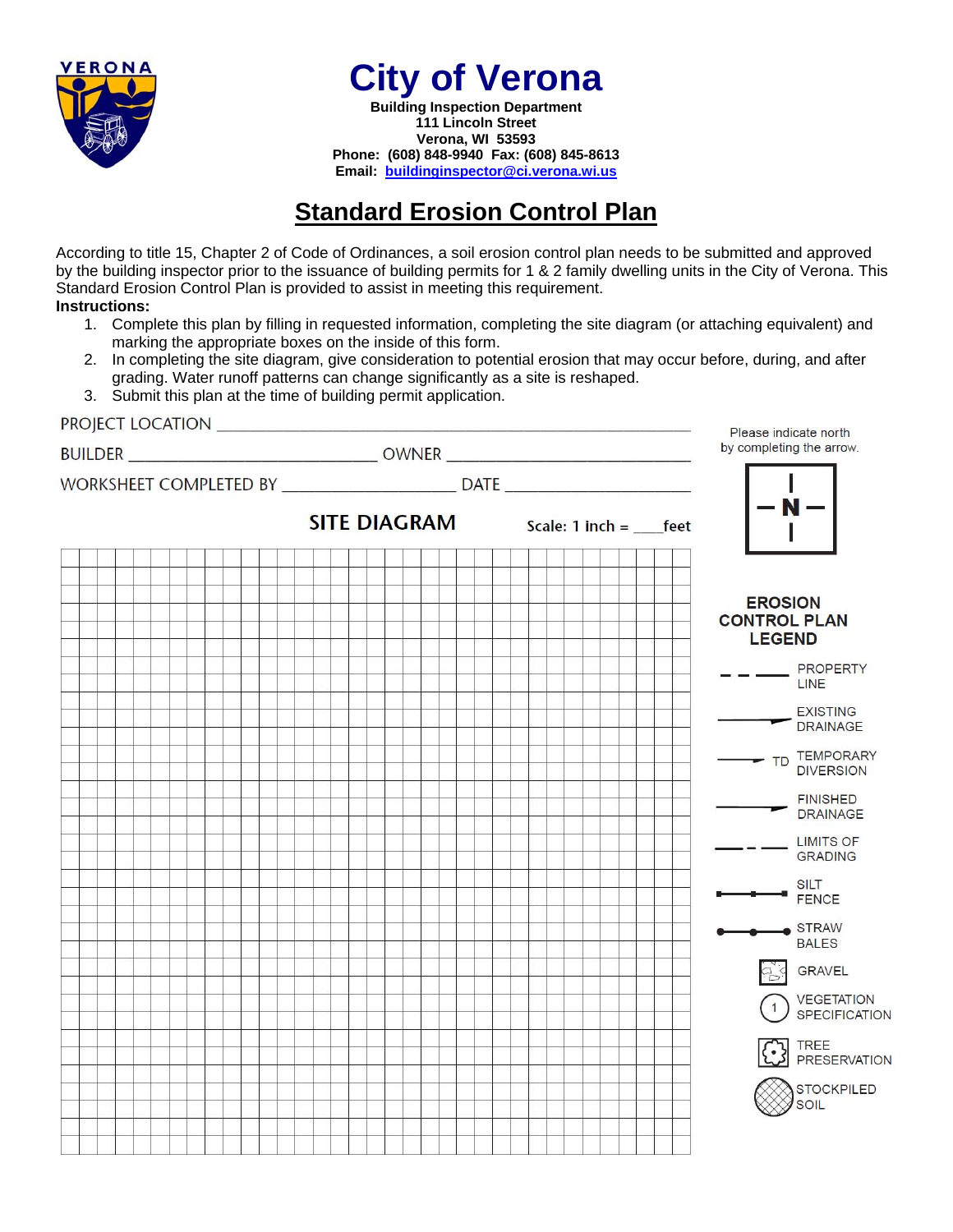

**City of Verona** 

**Building Inspection Department 111 Lincoln Street Verona, WI 53593 Phone: (608) 848-9940 Fax: (608) 845-8613 Email: buildinginspector@ci.verona.wi.us**

# **Standard Erosion Control Plan**

According to title 15, Chapter 2 of Code of Ordinances, a soil erosion control plan needs to be submitted and approved by the building inspector prior to the issuance of building permits for 1 & 2 family dwelling units in the City of Verona. This Standard Erosion Control Plan is provided to assist in meeting this requirement. **Instructions:** 

- 1. Complete this plan by filling in requested information, completing the site diagram (or attaching equivalent) and marking the appropriate boxes on the inside of this form.
- 2. In completing the site diagram, give consideration to potential erosion that may occur before, during, and after grading. Water runoff patterns can change significantly as a site is reshaped.
- 3. Submit this plan at the time of building permit application.

|                                                                                  |                                                    | Please indicate north                                  |
|----------------------------------------------------------------------------------|----------------------------------------------------|--------------------------------------------------------|
|                                                                                  |                                                    | by completing the arrow.                               |
| WORKSHEET COMPLETED BY _______________________________DATE _____________________ |                                                    |                                                        |
|                                                                                  | <b>SITE DIAGRAM</b> Scale: $1$ inch =  ______ feet | $-\frac{1}{N}$ - .                                     |
|                                                                                  |                                                    |                                                        |
|                                                                                  |                                                    | <b>EROSION</b><br><b>CONTROL PLAN</b><br><b>LEGEND</b> |
|                                                                                  |                                                    | $  -$ PROPERTY<br>LINE                                 |
|                                                                                  |                                                    | EXISTING<br>DRAINAGE                                   |
|                                                                                  |                                                    | TD TEMPORARY                                           |
|                                                                                  |                                                    | <b>FINISHED</b><br>DRAINAGE                            |
|                                                                                  |                                                    | _ LIMITS OF<br><b>GRADING</b>                          |
|                                                                                  |                                                    | SILT<br>FENCE                                          |
|                                                                                  |                                                    | $\bullet$ STRAW<br><b>BALES</b>                        |
|                                                                                  |                                                    | a GRAVEL                                               |
|                                                                                  |                                                    | <b>VEGETATION</b><br><b>SPECIFICATION</b>              |
|                                                                                  |                                                    | <b>(C)</b> TREE<br>PRESERVATION                        |
|                                                                                  |                                                    | <b>STOCKPILED</b><br>SOIL                              |
|                                                                                  |                                                    |                                                        |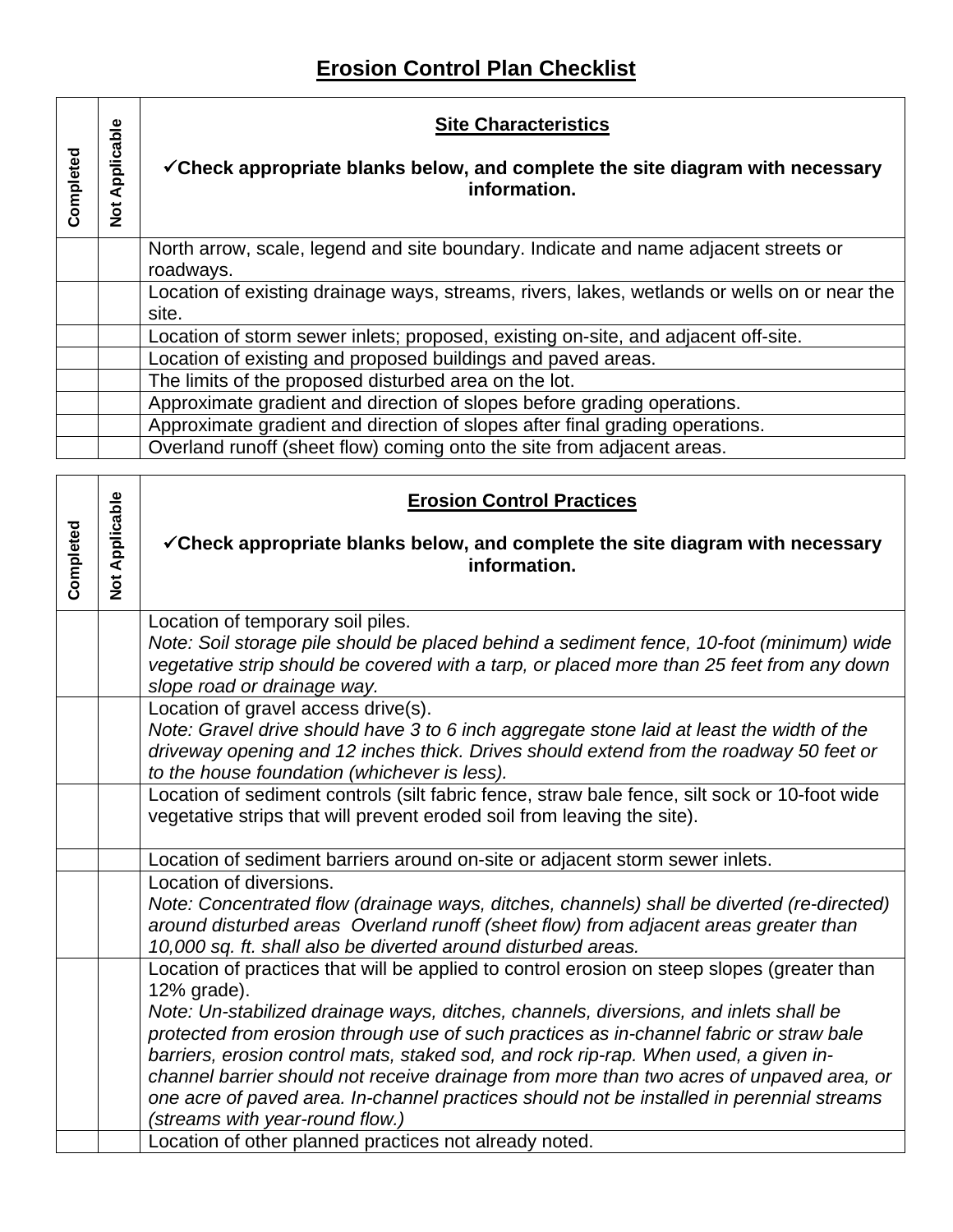## **Erosion Control Plan Checklist**

| Completed | pplicable<br>⋖<br>$\frac{5}{2}$ | <b>Site Characteristics</b><br><del>√Check</del> appropriate blanks below, and complete the site diagram with necessary<br>information. |
|-----------|---------------------------------|-----------------------------------------------------------------------------------------------------------------------------------------|
|           |                                 | North arrow, scale, legend and site boundary. Indicate and name adjacent streets or<br>roadways.                                        |
|           |                                 | Location of existing drainage ways, streams, rivers, lakes, wetlands or wells on or near the<br>site.                                   |
|           |                                 | Location of storm sewer inlets; proposed, existing on-site, and adjacent off-site.                                                      |
|           |                                 | Location of existing and proposed buildings and paved areas.                                                                            |
|           |                                 | The limits of the proposed disturbed area on the lot.                                                                                   |
|           |                                 | Approximate gradient and direction of slopes before grading operations.                                                                 |
|           |                                 | Approximate gradient and direction of slopes after final grading operations.                                                            |
|           |                                 | Overland runoff (sheet flow) coming onto the site from adjacent areas.                                                                  |

|           |                             | <b>Erosion Control Practices</b>                                                                                                                                                                                                                                                                                                                                                                                                                                                                                                                                                                                   |
|-----------|-----------------------------|--------------------------------------------------------------------------------------------------------------------------------------------------------------------------------------------------------------------------------------------------------------------------------------------------------------------------------------------------------------------------------------------------------------------------------------------------------------------------------------------------------------------------------------------------------------------------------------------------------------------|
| Completed | Applicable<br>$\frac{1}{2}$ | $\checkmark$ Check appropriate blanks below, and complete the site diagram with necessary<br>information.                                                                                                                                                                                                                                                                                                                                                                                                                                                                                                          |
|           |                             | Location of temporary soil piles.<br>Note: Soil storage pile should be placed behind a sediment fence, 10-foot (minimum) wide<br>vegetative strip should be covered with a tarp, or placed more than 25 feet from any down<br>slope road or drainage way.                                                                                                                                                                                                                                                                                                                                                          |
|           |                             | Location of gravel access drive(s).<br>Note: Gravel drive should have 3 to 6 inch aggregate stone laid at least the width of the<br>driveway opening and 12 inches thick. Drives should extend from the roadway 50 feet or<br>to the house foundation (whichever is less).                                                                                                                                                                                                                                                                                                                                         |
|           |                             | Location of sediment controls (silt fabric fence, straw bale fence, silt sock or 10-foot wide<br>vegetative strips that will prevent eroded soil from leaving the site).                                                                                                                                                                                                                                                                                                                                                                                                                                           |
|           |                             | Location of sediment barriers around on-site or adjacent storm sewer inlets.                                                                                                                                                                                                                                                                                                                                                                                                                                                                                                                                       |
|           |                             | Location of diversions.<br>Note: Concentrated flow (drainage ways, ditches, channels) shall be diverted (re-directed)<br>around disturbed areas Overland runoff (sheet flow) from adjacent areas greater than<br>10,000 sq. ft. shall also be diverted around disturbed areas.                                                                                                                                                                                                                                                                                                                                     |
|           |                             | Location of practices that will be applied to control erosion on steep slopes (greater than<br>12% grade).<br>Note: Un-stabilized drainage ways, ditches, channels, diversions, and inlets shall be<br>protected from erosion through use of such practices as in-channel fabric or straw bale<br>barriers, erosion control mats, staked sod, and rock rip-rap. When used, a given in-<br>channel barrier should not receive drainage from more than two acres of unpaved area, or<br>one acre of paved area. In-channel practices should not be installed in perennial streams<br>(streams with year-round flow.) |
|           |                             | Location of other planned practices not already noted.                                                                                                                                                                                                                                                                                                                                                                                                                                                                                                                                                             |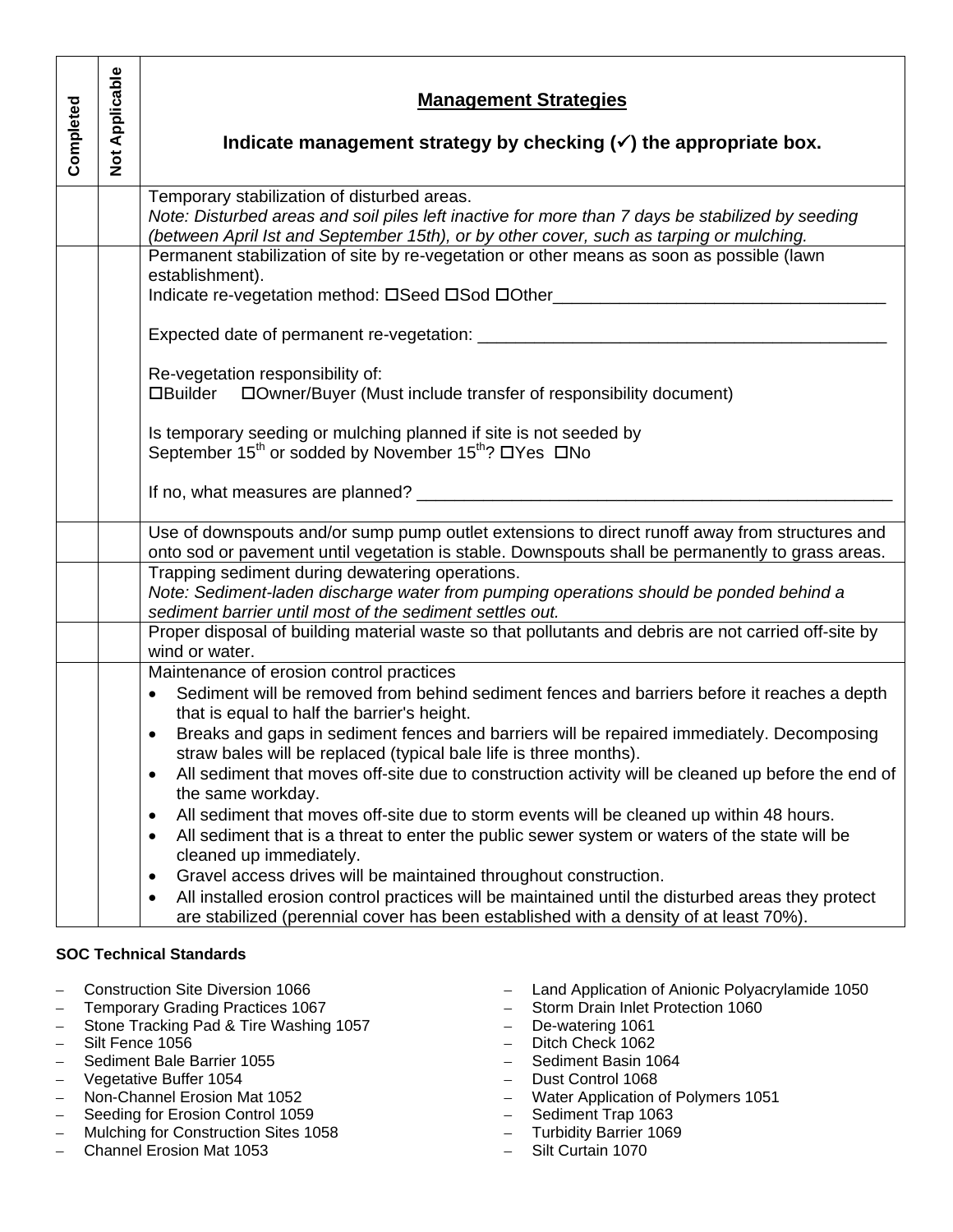|           |                       | <b>Management Strategies</b>                                                                                                                                                                                                                                                     |
|-----------|-----------------------|----------------------------------------------------------------------------------------------------------------------------------------------------------------------------------------------------------------------------------------------------------------------------------|
| Completed | <b>Not Applicable</b> | Indicate management strategy by checking $(\checkmark)$ the appropriate box.                                                                                                                                                                                                     |
|           |                       | Temporary stabilization of disturbed areas.<br>Note: Disturbed areas and soil piles left inactive for more than 7 days be stabilized by seeding<br>(between April Ist and September 15th), or by other cover, such as tarping or mulching.                                       |
|           |                       | Permanent stabilization of site by re-vegetation or other means as soon as possible (lawn<br>establishment).<br>Indicate re-vegetation method: DSeed DSod DOther________________________________                                                                                 |
|           |                       |                                                                                                                                                                                                                                                                                  |
|           |                       | Re-vegetation responsibility of:<br>□Builder □ Owner/Buyer (Must include transfer of responsibility document)                                                                                                                                                                    |
|           |                       | Is temporary seeding or mulching planned if site is not seeded by<br>September 15 <sup>th</sup> or sodded by November 15 <sup>th</sup> ? □ Yes □ No                                                                                                                              |
|           |                       | If no, what measures are planned? ___________                                                                                                                                                                                                                                    |
|           |                       | Use of downspouts and/or sump pump outlet extensions to direct runoff away from structures and<br>onto sod or pavement until vegetation is stable. Downspouts shall be permanently to grass areas.                                                                               |
|           |                       | Trapping sediment during dewatering operations.<br>Note: Sediment-laden discharge water from pumping operations should be ponded behind a<br>sediment barrier until most of the sediment settles out.                                                                            |
|           |                       | Proper disposal of building material waste so that pollutants and debris are not carried off-site by<br>wind or water.                                                                                                                                                           |
|           |                       | Maintenance of erosion control practices<br>Sediment will be removed from behind sediment fences and barriers before it reaches a depth<br>$\bullet$<br>that is equal to half the barrier's height.                                                                              |
|           |                       | Breaks and gaps in sediment fences and barriers will be repaired immediately. Decomposing<br>$\bullet$<br>straw bales will be replaced (typical bale life is three months).                                                                                                      |
|           |                       | All sediment that moves off-site due to construction activity will be cleaned up before the end of<br>$\bullet$<br>the same workday.                                                                                                                                             |
|           |                       | All sediment that moves off-site due to storm events will be cleaned up within 48 hours.<br>٠<br>All sediment that is a threat to enter the public sewer system or waters of the state will be<br>٠<br>cleaned up immediately.                                                   |
|           |                       | Gravel access drives will be maintained throughout construction.<br>٠<br>All installed erosion control practices will be maintained until the disturbed areas they protect<br>$\bullet$<br>are stabilized (perennial cover has been established with a density of at least 70%). |
|           |                       | <b>SOC Technical Standards</b>                                                                                                                                                                                                                                                   |

- Construction Site Diversion 1066
- Temporary Grading Practices 1067
- Stone Tracking Pad & Tire Washing 1057
- Silt Fence 1056
- Sediment Bale Barrier 1055
- Vegetative Buffer 1054
- Non-Channel Erosion Mat 1052
- Seeding for Erosion Control 1059
- Mulching for Construction Sites 1058
- Channel Erosion Mat 1053
- Land Application of Anionic Polyacrylamide 1050
- Storm Drain Inlet Protection 1060
- De-watering 1061
- Ditch Check 1062
- Sediment Basin 1064
- Dust Control 1068
- Water Application of Polymers 1051
- Sediment Trap 1063
- Turbidity Barrier 1069
- Silt Curtain 1070